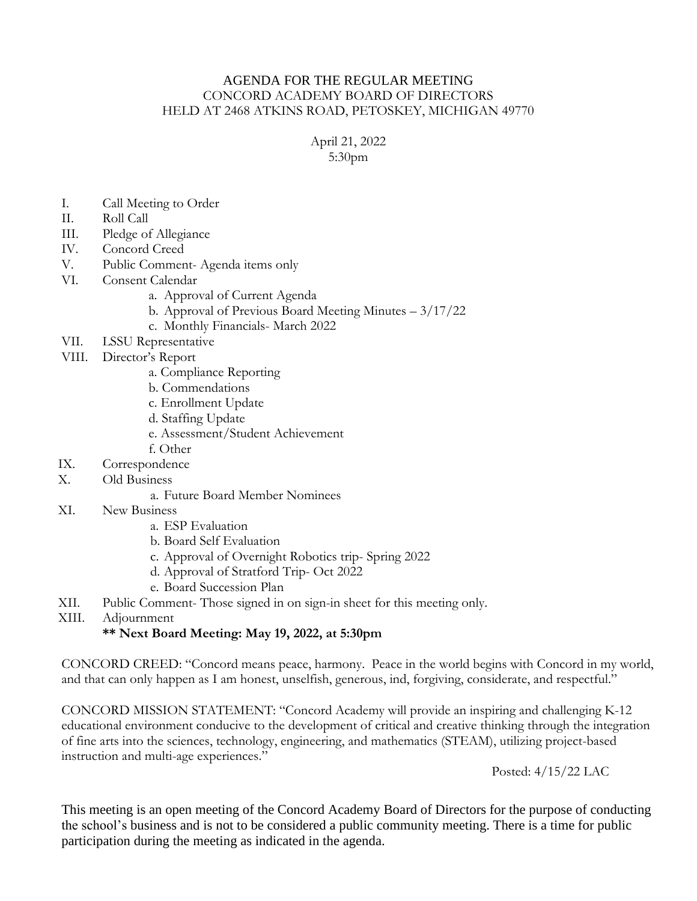## AGENDA FOR THE REGULAR MEETING CONCORD ACADEMY BOARD OF DIRECTORS HELD AT 2468 ATKINS ROAD, PETOSKEY, MICHIGAN 49770

April 21, 2022 5:30pm

- I. Call Meeting to Order
- II. Roll Call
- III. Pledge of Allegiance
- IV. Concord Creed
- V. Public Comment- Agenda items only
- VI. Consent Calendar
	- a. Approval of Current Agenda
	- b. Approval of Previous Board Meeting Minutes 3/17/22
	- c. Monthly Financials- March 2022
- VII. LSSU Representative
- VIII. Director's Report
	- a. Compliance Reporting
	- b. Commendations
	- c. Enrollment Update
	- d. Staffing Update
	- e. Assessment/Student Achievement
	- f. Other
- IX. Correspondence
- X. Old Business
	- a. Future Board Member Nominees
- XI. New Business
	- a. ESP Evaluation
	- b. Board Self Evaluation
	- c. Approval of Overnight Robotics trip- Spring 2022
	- d. Approval of Stratford Trip- Oct 2022
	- e. Board Succession Plan
- XII. Public Comment- Those signed in on sign-in sheet for this meeting only.
- XIII. Adjournment

## **\*\* Next Board Meeting: May 19, 2022, at 5:30pm**

CONCORD CREED: "Concord means peace, harmony. Peace in the world begins with Concord in my world, and that can only happen as I am honest, unselfish, generous, ind, forgiving, considerate, and respectful."

CONCORD MISSION STATEMENT: "Concord Academy will provide an inspiring and challenging K-12 educational environment conducive to the development of critical and creative thinking through the integration of fine arts into the sciences, technology, engineering, and mathematics (STEAM), utilizing project-based instruction and multi-age experiences."

Posted: 4/15/22 LAC

This meeting is an open meeting of the Concord Academy Board of Directors for the purpose of conducting the school's business and is not to be considered a public community meeting. There is a time for public participation during the meeting as indicated in the agenda.